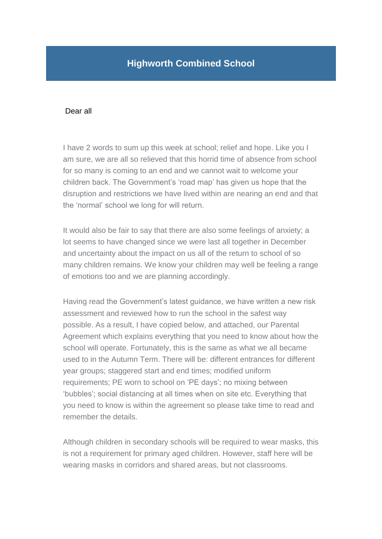## **Highworth Combined School**

## Dear all

I have 2 words to sum up this week at school; relief and hope. Like you I am sure, we are all so relieved that this horrid time of absence from school for so many is coming to an end and we cannot wait to welcome your children back. The Government's 'road map' has given us hope that the disruption and restrictions we have lived within are nearing an end and that the 'normal' school we long for will return.

It would also be fair to say that there are also some feelings of anxiety; a lot seems to have changed since we were last all together in December and uncertainty about the impact on us all of the return to school of so many children remains. We know your children may well be feeling a range of emotions too and we are planning accordingly.

Having read the Government's latest guidance, we have written a new risk assessment and reviewed how to run the school in the safest way possible. As a result, I have copied below, and attached, our Parental Agreement which explains everything that you need to know about how the school will operate. Fortunately, this is the same as what we all became used to in the Autumn Term. There will be: different entrances for different year groups; staggered start and end times; modified uniform requirements; PE worn to school on 'PE days'; no mixing between 'bubbles'; social distancing at all times when on site etc. Everything that you need to know is within the agreement so please take time to read and remember the details.

Although children in secondary schools will be required to wear masks, this is not a requirement for primary aged children. However, staff here will be wearing masks in corridors and shared areas, but not classrooms.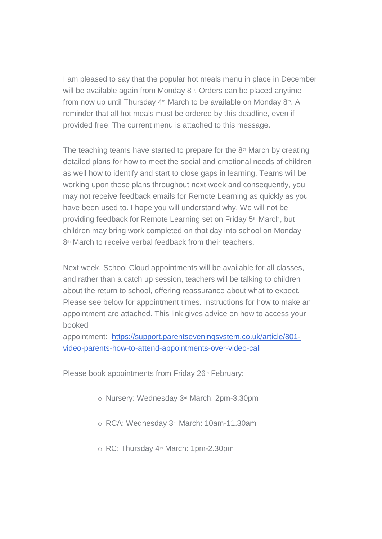I am pleased to say that the popular hot meals menu in place in December will be available again from Monday  $8<sup>th</sup>$ . Orders can be placed anytime from now up until Thursday 4<sup>th</sup> March to be available on Monday 8<sup>th</sup>. A reminder that all hot meals must be ordered by this deadline, even if provided free. The current menu is attached to this message.

The teaching teams have started to prepare for the  $8<sup>th</sup>$  March by creating detailed plans for how to meet the social and emotional needs of children as well how to identify and start to close gaps in learning. Teams will be working upon these plans throughout next week and consequently, you may not receive feedback emails for Remote Learning as quickly as you have been used to. I hope you will understand why. We will not be providing feedback for Remote Learning set on Friday 5<sup>th</sup> March, but children may bring work completed on that day into school on Monday 8<sup>th</sup> March to receive verbal feedback from their teachers.

Next week, School Cloud appointments will be available for all classes, and rather than a catch up session, teachers will be talking to children about the return to school, offering reassurance about what to expect. Please see below for appointment times. Instructions for how to make an appointment are attached. This link gives advice on how to access your booked

appointment: [https://support.parentseveningsystem.co.uk/article/801](https://support.parentseveningsystem.co.uk/article/801-video-parents-how-to-attend-appointments-over-video-call) [video-parents-how-to-attend-appointments-over-video-call](https://support.parentseveningsystem.co.uk/article/801-video-parents-how-to-attend-appointments-over-video-call)

Please book appointments from Friday 26<sup>th</sup> February:

- o Nursery: Wednesday 3rd March: 2pm-3.30pm
- o RCA: Wednesday 3rd March: 10am-11.30am
- $\circ$  RC: Thursday 4<sup>th</sup> March: 1pm-2.30pm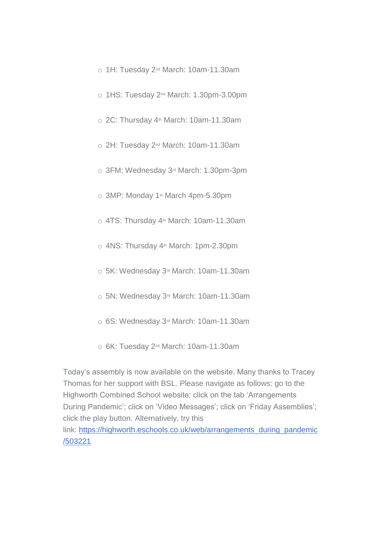- o 1H: Tuesday 2nd March: 10am-11.30am
- o 1HS: Tuesday 2nd March: 1.30pm-3.00pm
- o 2C: Thursday 4<sup>th</sup> March: 10am-11.30am
- o 2H: Tuesday 2nd March: 10am-11.30am
- o 3FM: Wednesday 3rd March: 1.30pm-3pm
- o 3MP: Monday 1st March 4pm-5.30pm
- $\circ$  4TS: Thursdav 4<sup>th</sup> March: 10am-11.30am
- $\circ$  4NS: Thursday 4<sup>th</sup> March: 1pm-2.30pm
- o 5K: Wednesday 3rd March: 10am-11.30am
- o 5N: Wednesday 3rd March: 10am-11.30am
- o 6S: Wednesday 3rd March: 10am-11.30am
- o 6K: Tuesday 2nd March: 10am-11.30am

Today's assembly is now available on the website. Many thanks to Tracey Thomas for her support with BSL. Please navigate as follows: go to the Highworth Combined School website; click on the tab 'Arrangements During Pandemic'; click on 'Video Messages'; click on 'Friday Assemblies'; click the play button. Alternatively, try this link: [https://highworth.eschools.co.uk/web/arrangements\\_during\\_pandemic](https://highworth.eschools.co.uk/eletters/web/arrangements_during_pandemic/503221) [/503221](https://highworth.eschools.co.uk/eletters/web/arrangements_during_pandemic/503221)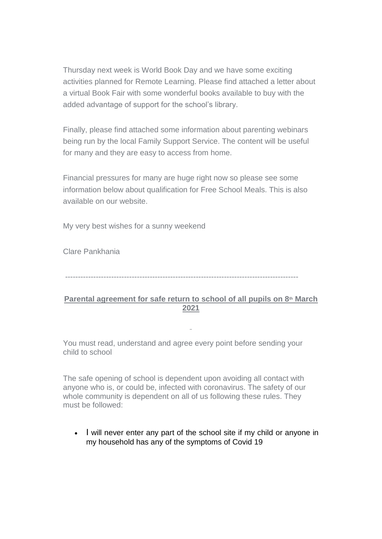Thursday next week is World Book Day and we have some exciting activities planned for Remote Learning. Please find attached a letter about a virtual Book Fair with some wonderful books available to buy with the added advantage of support for the school's library.

Finally, please find attached some information about parenting webinars being run by the local Family Support Service. The content will be useful for many and they are easy to access from home.

Financial pressures for many are huge right now so please see some information below about qualification for Free School Meals. This is also available on our website.

My very best wishes for a sunny weekend

Clare Pankhania

-------------------------------------------------------------------------------------------

## **Parental agreement for safe return to school of all pupils on 8th March 2021**

You must read, understand and agree every point before sending your child to school

The safe opening of school is dependent upon avoiding all contact with anyone who is, or could be, infected with coronavirus. The safety of our whole community is dependent on all of us following these rules. They must be followed:

• I will never enter any part of the school site if my child or anyone in my household has any of the symptoms of Covid 19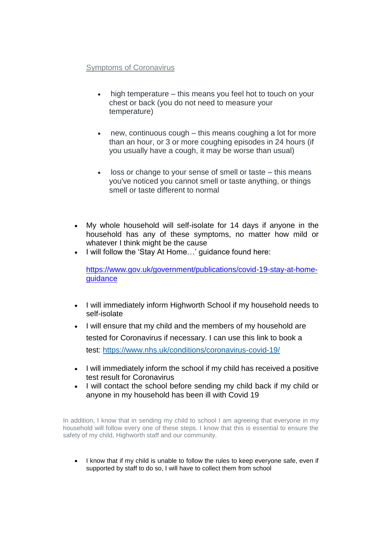## Symptoms of Coronavirus

- high temperature this means you feel hot to touch on your chest or back (you do not need to measure your temperature)
- new, continuous cough this means coughing a lot for more than an hour, or 3 or more coughing episodes in 24 hours (if you usually have a cough, it may be worse than usual)
- loss or change to your sense of smell or taste this means you've noticed you cannot smell or taste anything, or things smell or taste different to normal
- My whole household will self-isolate for 14 days if anyone in the household has any of these symptoms, no matter how mild or whatever I think might be the cause
- I will follow the 'Stay At Home...' guidance found here:

[https://www.gov.uk/government/publications/covid-19-stay-at-home](https://www.gov.uk/government/publications/covid-19-stay-at-home-guidance)[guidance](https://www.gov.uk/government/publications/covid-19-stay-at-home-guidance)

- I will immediately inform Highworth School if my household needs to self-isolate
- I will ensure that my child and the members of my household are tested for Coronavirus if necessary. I can use this link to book a test: <https://www.nhs.uk/conditions/coronavirus-covid-19/>
- I will immediately inform the school if my child has received a positive test result for Coronavirus
- I will contact the school before sending my child back if my child or anyone in my household has been ill with Covid 19

In addition, I know that in sending my child to school I am agreeing that everyone in my household will follow every one of these steps. I know that this is essential to ensure the safety of my child, Highworth staff and our community.

 I know that if my child is unable to follow the rules to keep everyone safe, even if supported by staff to do so, I will have to collect them from school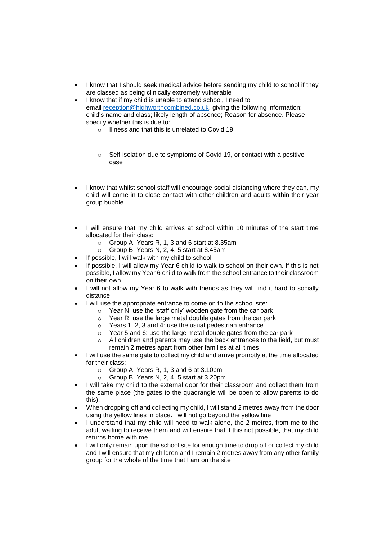- I know that I should seek medical advice before sending my child to school if they are classed as being clinically extremely vulnerable
- I know that if my child is unable to attend school, I need to email [reception@highworthcombined.co.uk,](mailto:reception@highworthcombined.co.uk) giving the following information: child's name and class; likely length of absence; Reason for absence. Please specify whether this is due to:
	- o Illness and that this is unrelated to Covid 19
	- o Self-isolation due to symptoms of Covid 19, or contact with a positive case
- I know that whilst school staff will encourage social distancing where they can, my child will come in to close contact with other children and adults within their year group bubble
- I will ensure that my child arrives at school within 10 minutes of the start time allocated for their class:
	- o Group A: Years R, 1, 3 and 6 start at 8.35am
	- o Group B: Years N, 2, 4, 5 start at 8.45am
- If possible, I will walk with my child to school
- If possible, I will allow my Year 6 child to walk to school on their own. If this is not possible, I allow my Year 6 child to walk from the school entrance to their classroom on their own
- I will not allow my Year 6 to walk with friends as they will find it hard to socially distance
- I will use the appropriate entrance to come on to the school site:
	- o Year N: use the 'staff only' wooden gate from the car park
		- o Year R: use the large metal double gates from the car park
		- o Years 1, 2, 3 and 4: use the usual pedestrian entrance
		- o Year 5 and 6: use the large metal double gates from the car park
	- $\circ$  All children and parents may use the back entrances to the field, but must remain 2 metres apart from other families at all times
- I will use the same gate to collect my child and arrive promptly at the time allocated for their class:
	- o Group A: Years R, 1, 3 and 6 at 3.10pm
	- o Group B: Years N, 2, 4, 5 start at 3.20pm
- I will take my child to the external door for their classroom and collect them from the same place (the gates to the quadrangle will be open to allow parents to do this).
- When dropping off and collecting my child, I will stand 2 metres away from the door using the yellow lines in place. I will not go beyond the yellow line
- I understand that my child will need to walk alone, the 2 metres, from me to the adult waiting to receive them and will ensure that if this not possible, that my child returns home with me
- I will only remain upon the school site for enough time to drop off or collect my child and I will ensure that my children and I remain 2 metres away from any other family group for the whole of the time that I am on the site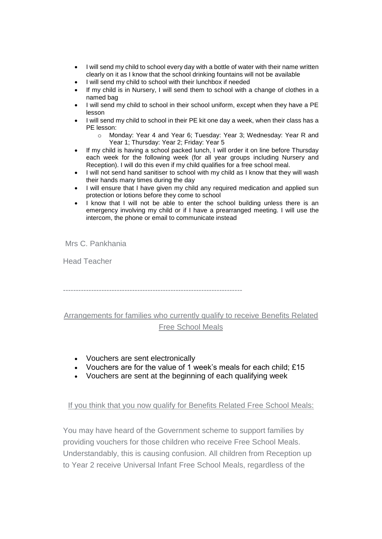- I will send my child to school every day with a bottle of water with their name written clearly on it as I know that the school drinking fountains will not be available
- I will send my child to school with their lunchbox if needed
- If my child is in Nursery, I will send them to school with a change of clothes in a named bag
- I will send my child to school in their school uniform, except when they have a PE lesson
- I will send my child to school in their PE kit one day a week, when their class has a PE lesson:
	- o Monday: Year 4 and Year 6; Tuesday: Year 3; Wednesday: Year R and Year 1; Thursday: Year 2; Friday: Year 5
- If my child is having a school packed lunch, I will order it on line before Thursday each week for the following week (for all year groups including Nursery and Reception). I will do this even if my child qualifies for a free school meal.
- I will not send hand sanitiser to school with my child as I know that they will wash their hands many times during the day
- I will ensure that I have given my child any required medication and applied sun protection or lotions before they come to school
- I know that I will not be able to enter the school building unless there is an emergency involving my child or if I have a prearranged meeting. I will use the intercom, the phone or email to communicate instead

Mrs C. Pankhania

Head Teacher

----------------------------------------------------------------------

Arrangements for families who currently qualify to receive Benefits Related Free School Meals

- Vouchers are sent electronically
- Vouchers are for the value of 1 week's meals for each child; £15
- Vouchers are sent at the beginning of each qualifying week

If you think that you now qualify for Benefits Related Free School Meals:

You may have heard of the Government scheme to support families by providing vouchers for those children who receive Free School Meals. Understandably, this is causing confusion. All children from Reception up to Year 2 receive Universal Infant Free School Meals, regardless of the